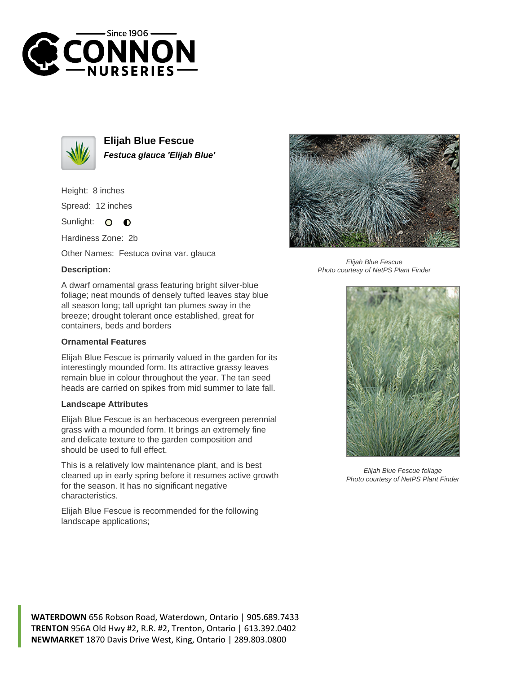



**Elijah Blue Fescue Festuca glauca 'Elijah Blue'**

Height: 8 inches

Spread: 12 inches

Sunlight: O  $\bullet$ 

Hardiness Zone: 2b

Other Names: Festuca ovina var. glauca

## **Description:**

A dwarf ornamental grass featuring bright silver-blue foliage; neat mounds of densely tufted leaves stay blue all season long; tall upright tan plumes sway in the breeze; drought tolerant once established, great for containers, beds and borders

## **Ornamental Features**

Elijah Blue Fescue is primarily valued in the garden for its interestingly mounded form. Its attractive grassy leaves remain blue in colour throughout the year. The tan seed heads are carried on spikes from mid summer to late fall.

## **Landscape Attributes**

Elijah Blue Fescue is an herbaceous evergreen perennial grass with a mounded form. It brings an extremely fine and delicate texture to the garden composition and should be used to full effect.

This is a relatively low maintenance plant, and is best cleaned up in early spring before it resumes active growth for the season. It has no significant negative characteristics.

Elijah Blue Fescue is recommended for the following landscape applications;



Elijah Blue Fescue Photo courtesy of NetPS Plant Finder



Elijah Blue Fescue foliage Photo courtesy of NetPS Plant Finder

**WATERDOWN** 656 Robson Road, Waterdown, Ontario | 905.689.7433 **TRENTON** 956A Old Hwy #2, R.R. #2, Trenton, Ontario | 613.392.0402 **NEWMARKET** 1870 Davis Drive West, King, Ontario | 289.803.0800